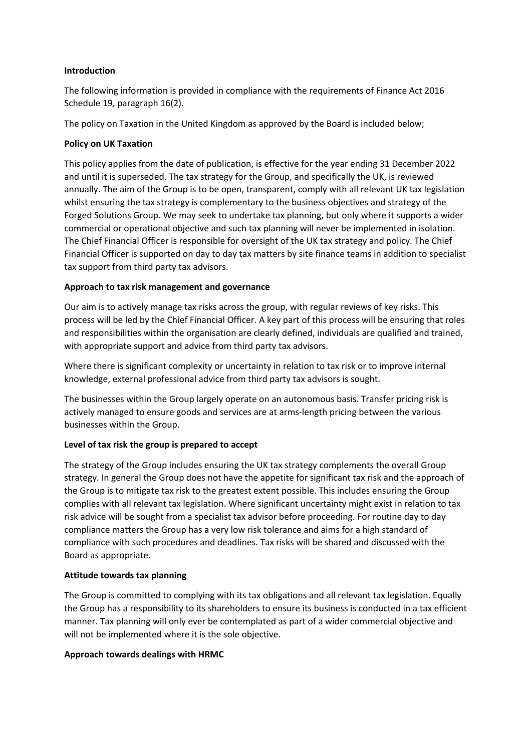## **Introduction**

The following information is provided in compliance with the requirements of Finance Act 2016 Schedule 19, paragraph 16(2).

The policy on Taxation in the United Kingdom as approved by the Board is included below;

# **Policy on UK Taxation**

This policy applies from the date of publication, is effective for the year ending 31 December 2022 and until it is superseded. The tax strategy for the Group, and specifically the UK, is reviewed annually. The aim of the Group is to be open, transparent, comply with all relevant UK tax legislation whilst ensuring the tax strategy is complementary to the business objectives and strategy of the Forged Solutions Group. We may seek to undertake tax planning, but only where it supports a wider commercial or operational objective and such tax planning will never be implemented in isolation. The Chief Financial Officer is responsible for oversight of the UK tax strategy and policy. The Chief Financial Officer is supported on day to day tax matters by site finance teams in addition to specialist tax support from third party tax advisors.

# **Approach to tax risk management and governance**

Our aim is to actively manage tax risks across the group, with regular reviews of key risks. This process will be led by the Chief Financial Officer. A key part of this process will be ensuring that roles and responsibilities within the organisation are clearly defined, individuals are qualified and trained, with appropriate support and advice from third party tax advisors.

Where there is significant complexity or uncertainty in relation to tax risk or to improve internal knowledge, external professional advice from third party tax advisors is sought.

The businesses within the Group largely operate on an autonomous basis. Transfer pricing risk is actively managed to ensure goods and services are at arms-length pricing between the various businesses within the Group.

### **Level of tax risk the group is prepared to accept**

The strategy of the Group includes ensuring the UK tax strategy complements the overall Group strategy. In general the Group does not have the appetite for significant tax risk and the approach of the Group is to mitigate tax risk to the greatest extent possible. This includes ensuring the Group complies with all relevant tax legislation. Where significant uncertainty might exist in relation to tax risk advice will be sought from a specialist tax advisor before proceeding. For routine day to day compliance matters the Group has a very low risk tolerance and aims for a high standard of compliance with such procedures and deadlines. Tax risks will be shared and discussed with the Board as appropriate.

### **Attitude towards tax planning**

The Group is committed to complying with its tax obligations and all relevant tax legislation. Equally the Group has a responsibility to its shareholders to ensure its business is conducted in a tax efficient manner. Tax planning will only ever be contemplated as part of a wider commercial objective and will not be implemented where it is the sole objective.

### **Approach towards dealings with HRMC**